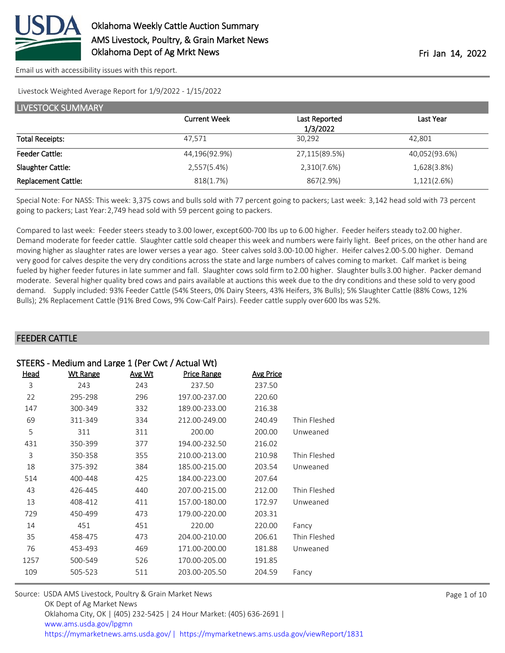

[Email us with accessibility issues with this report.](mailto:mars@ams.usda.gov?subject=508%20issue)

Livestock Weighted Average Report for 1/9/2022 - 1/15/2022

| LIVESTOCK SUMMARY          |                     |               |               |  |  |
|----------------------------|---------------------|---------------|---------------|--|--|
|                            | <b>Current Week</b> | Last Reported | Last Year     |  |  |
|                            |                     | 1/3/2022      |               |  |  |
| <b>Total Receipts:</b>     | 47,571              | 30,292        | 42,801        |  |  |
| <b>Feeder Cattle:</b>      | 44,196(92.9%)       | 27,115(89.5%) | 40,052(93.6%) |  |  |
| Slaughter Cattle:          | 2,557(5.4%)         | 2,310(7.6%)   | 1,628(3.8%)   |  |  |
| <b>Replacement Cattle:</b> | 818(1.7%)           | 867(2.9%)     | 1,121(2.6%)   |  |  |

Special Note: For NASS: This week: 3,375 cows and bulls sold with 77 percent going to packers; Last week: 3,142 head sold with 73 percent going to packers; Last Year: 2,749 head sold with 59 percent going to packers.

Compared to last week: Feeder steers steady to 3.00 lower, except 600-700 lbs up to 6.00 higher. Feeder heifers steady to 2.00 higher. Demand moderate for feeder cattle. Slaughter cattle sold cheaper this week and numbers were fairly light. Beef prices, on the other hand are moving higher as slaughter rates are lower verses a year ago. Steer calves sold 3.00-10.00 higher. Heifer calves 2.00-5.00 higher. Demand very good for calves despite the very dry conditions across the state and large numbers of calves coming to market. Calf market is being fueled by higher feeder futures in late summer and fall. Slaughter cows sold firm to 2.00 higher. Slaughter bulls 3.00 higher. Packer demand moderate. Several higher quality bred cows and pairs available at auctions this week due to the dry conditions and these sold to very good demand. Supply included: 93% Feeder Cattle (54% Steers, 0% Dairy Steers, 43% Heifers, 3% Bulls); 5% Slaughter Cattle (88% Cows, 12% Bulls); 2% Replacement Cattle (91% Bred Cows, 9% Cow-Calf Pairs). Feeder cattle supply over 600 lbs was 52%.

### FEEDER CATTLE

|      | STEERS - Medium and Large 1 (Per Cwt / Actual Wt) |        |               |                  |              |  |  |  |
|------|---------------------------------------------------|--------|---------------|------------------|--------------|--|--|--|
| Head | <b>Wt Range</b>                                   | Avg Wt | Price Range   | <b>Avg Price</b> |              |  |  |  |
| 3    | 243                                               | 243    | 237.50        | 237.50           |              |  |  |  |
| 22   | 295-298                                           | 296    | 197.00-237.00 | 220.60           |              |  |  |  |
| 147  | 300-349                                           | 332    | 189.00-233.00 | 216.38           |              |  |  |  |
| 69   | 311-349                                           | 334    | 212.00-249.00 | 240.49           | Thin Fleshed |  |  |  |
| 5    | 311                                               | 311    | 200.00        | 200.00           | Unweaned     |  |  |  |
| 431  | 350-399                                           | 377    | 194.00-232.50 | 216.02           |              |  |  |  |
| 3    | 350-358                                           | 355    | 210.00-213.00 | 210.98           | Thin Fleshed |  |  |  |
| 18   | 375-392                                           | 384    | 185.00-215.00 | 203.54           | Unweaned     |  |  |  |
| 514  | 400-448                                           | 425    | 184.00-223.00 | 207.64           |              |  |  |  |
| 43   | 426-445                                           | 440    | 207.00-215.00 | 212.00           | Thin Fleshed |  |  |  |
| 13   | 408-412                                           | 411    | 157.00-180.00 | 172.97           | Unweaned     |  |  |  |
| 729  | 450-499                                           | 473    | 179.00-220.00 | 203.31           |              |  |  |  |
| 14   | 451                                               | 451    | 220.00        | 220.00           | Fancy        |  |  |  |
| 35   | 458-475                                           | 473    | 204.00-210.00 | 206.61           | Thin Fleshed |  |  |  |
| 76   | 453-493                                           | 469    | 171.00-200.00 | 181.88           | Unweaned     |  |  |  |
| 1257 | 500-549                                           | 526    | 170.00-205.00 | 191.85           |              |  |  |  |
| 109  | 505-523                                           | 511    | 203.00-205.50 | 204.59           | Fancy        |  |  |  |
|      |                                                   |        |               |                  |              |  |  |  |

| Source: USDA AMS Livestock, Poultry & Grain Market News                               |
|---------------------------------------------------------------------------------------|
| OK Dept of Ag Market News                                                             |
| Oklahoma City, OK   (405) 232-5425   24 Hour Market: (405) 636-2691                   |
| www.ams.usda.gov/lpgmn                                                                |
| https://mymarketnews.ams.usda.gov/  https://mymarketnews.ams.usda.gov/viewReport/1831 |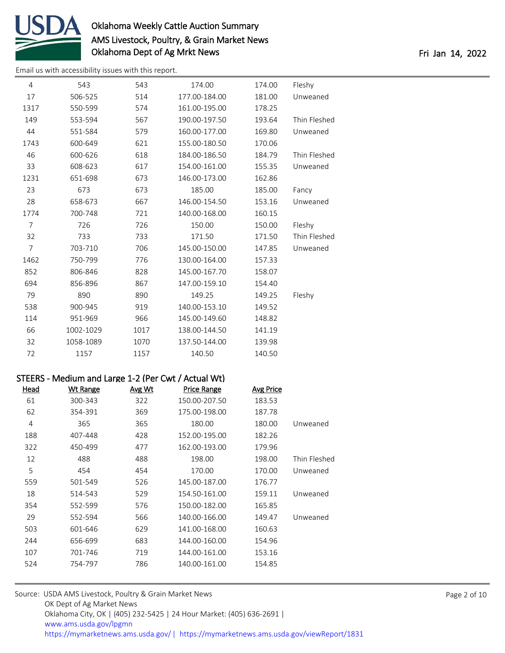

[Email us with accessibility issues with this report.](mailto:mars@ams.usda.gov?subject=508%20issue)

| 4              | 543                                                 | 543    | 174.00        | 174.00           | Fleshy       |  |
|----------------|-----------------------------------------------------|--------|---------------|------------------|--------------|--|
| 17             | 506-525                                             | 514    | 177.00-184.00 | 181.00           | Unweaned     |  |
| 1317           | 550-599                                             | 574    | 161.00-195.00 | 178.25           |              |  |
| 149            | 553-594                                             | 567    | 190.00-197.50 | 193.64           | Thin Fleshed |  |
| 44             | 551-584                                             | 579    | 160.00-177.00 | 169.80           | Unweaned     |  |
| 1743           | 600-649                                             | 621    | 155.00-180.50 | 170.06           |              |  |
| 46             | 600-626                                             | 618    | 184.00-186.50 | 184.79           | Thin Fleshed |  |
| 33             | 608-623                                             | 617    | 154.00-161.00 | 155.35           | Unweaned     |  |
| 1231           | 651-698                                             | 673    | 146.00-173.00 | 162.86           |              |  |
| 23             | 673                                                 | 673    | 185.00        | 185.00           | Fancy        |  |
| 28             | 658-673                                             | 667    | 146.00-154.50 | 153.16           | Unweaned     |  |
| 1774           | 700-748                                             | 721    | 140.00-168.00 | 160.15           |              |  |
| $\overline{7}$ | 726                                                 | 726    | 150.00        | 150.00           | Fleshy       |  |
| 32             | 733                                                 | 733    | 171.50        | 171.50           | Thin Fleshed |  |
| $\overline{7}$ | 703-710                                             | 706    | 145.00-150.00 | 147.85           | Unweaned     |  |
| 1462           | 750-799                                             | 776    | 130.00-164.00 | 157.33           |              |  |
| 852            | 806-846                                             | 828    | 145.00-167.70 | 158.07           |              |  |
| 694            | 856-896                                             | 867    | 147.00-159.10 | 154.40           |              |  |
| 79             | 890                                                 | 890    | 149.25        | 149.25           | Fleshy       |  |
| 538            | 900-945                                             | 919    | 140.00-153.10 | 149.52           |              |  |
| 114            | 951-969                                             | 966    | 145.00-149.60 | 148.82           |              |  |
| 66             | 1002-1029                                           | 1017   | 138.00-144.50 | 141.19           |              |  |
| 32             | 1058-1089                                           | 1070   | 137.50-144.00 | 139.98           |              |  |
| 72             | 1157                                                | 1157   | 140.50        | 140.50           |              |  |
|                |                                                     |        |               |                  |              |  |
|                | STEERS - Medium and Large 1-2 (Per Cwt / Actual Wt) |        |               |                  |              |  |
| <b>Head</b>    | <b>Wt Range</b>                                     | Avg Wt | Price Range   | <b>Avg Price</b> |              |  |
| 61             | 300-343                                             | 322    | 150.00-207.50 | 183.53           |              |  |
| 62             | 354-391                                             | 369    | 175.00-198.00 | 187.78           |              |  |
| 4              | 365                                                 | 365    | 180.00        | 180.00           | Unweaned     |  |
| 188            | 407-448                                             | 428    | 152.00-195.00 | 182.26           |              |  |
| 322            | 450-499                                             | 477    | 162.00-193.00 | 179.96           |              |  |
| 12             | 488                                                 | 488    | 198.00        | 198.00           | Thin Fleshed |  |
| 5              | 454                                                 | 454    | 170.00        | 170.00           | Unweaned     |  |
| 559            | 501-549                                             | 526    | 145.00-187.00 | 176.77           |              |  |
| 18             | 514-543                                             | 529    | 154.50-161.00 | 159.11           | Unweaned     |  |
| 354            | 552-599                                             | 576    | 150.00-182.00 | 165.85           |              |  |
| 29             |                                                     |        |               |                  |              |  |
|                | 552-594                                             | 566    | 140.00-166.00 | 149.47           | Unweaned     |  |
| 503            | 601-646                                             | 629    | 141.00-168.00 | 160.63           |              |  |
| 244            | 656-699                                             | 683    | 144.00-160.00 | 154.96           |              |  |
| 107            | 701-746                                             | 719    | 144.00-161.00 | 153.16           |              |  |
| 524            | 754-797                                             | 786    | 140.00-161.00 | 154.85           |              |  |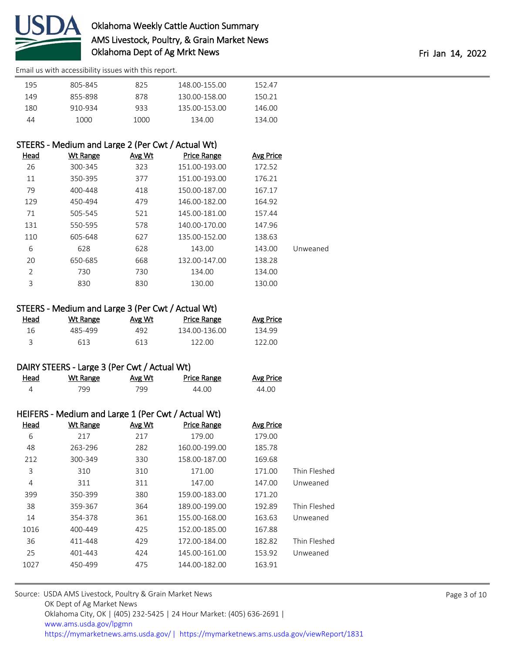

[Email us with accessibility issues with this report.](mailto:mars@ams.usda.gov?subject=508%20issue)

| 195 | 805-845 | 825  | 148 00-155 00 | 152.47 |
|-----|---------|------|---------------|--------|
| 149 | 855-898 | 878  | 130.00-158.00 | 150.21 |
| 180 | 910-934 | 933  | 135.00-153.00 | 146.00 |
| 44  | 1000.   | 1000 | 134.00        | 134.00 |

## STEERS - Medium and Large 2 (Per Cwt / Actual Wt)

|          | <b>Avg Price</b> | <b>Price Range</b> | Avg Wt | <b>Wt Range</b> | Head           |
|----------|------------------|--------------------|--------|-----------------|----------------|
|          | 172.52           | 151.00-193.00      | 323    | 300-345         | 26             |
|          | 176.21           | 151.00-193.00      | 377    | 350-395         | 11             |
|          | 167.17           | 150.00-187.00      | 418    | 400-448         | 79             |
|          | 164.92           | 146.00-182.00      | 479    | 450-494         | 129            |
|          | 157.44           | 145.00-181.00      | 521    | 505-545         | 71             |
|          | 147.96           | 140.00-170.00      | 578    | 550-595         | 131            |
|          | 138.63           | 135.00-152.00      | 627    | 605-648         | 110            |
| Unweaned | 143.00           | 143.00             | 628    | 628             | 6              |
|          | 138.28           | 132.00-147.00      | 668    | 650-685         | 20             |
|          | 134.00           | 134.00             | 730    | 730             | $\overline{2}$ |
|          | 130.00           | 130.00             | 830    | 830             | 3              |
|          |                  |                    |        |                 |                |

## STEERS - Medium and Large 3 (Per Cwt / Actual Wt)

| <u>Head</u> | Wt Range | Avg Wt | <b>Price Range</b> | <b>Avg Price</b> |
|-------------|----------|--------|--------------------|------------------|
| 16          | 485-499  | 492.   | 134.00-136.00      | 134.99           |
|             | 613      | 613    | 122.00             | 122 OO           |

#### DAIRY STEERS - Large 3 (Per Cwt / Actual Wt)

| Head | <b>Wt Range</b> | Avg Wt | Price Range | <b>Avg Price</b> |
|------|-----------------|--------|-------------|------------------|
|      | 799             | 799.   | 44.00       | 44.00            |

|             | HEIFERS - Medium and Large 1 (Per Cwt / Actual Wt) |        |                    |                  |              |  |  |
|-------------|----------------------------------------------------|--------|--------------------|------------------|--------------|--|--|
| <b>Head</b> | <b>Wt Range</b>                                    | Avg Wt | <b>Price Range</b> | <b>Avg Price</b> |              |  |  |
| 6           | 217                                                | 217    | 179.00             | 179.00           |              |  |  |
| 48          | 263-296                                            | 282    | 160.00-199.00      | 185.78           |              |  |  |
| 212         | 300-349                                            | 330    | 158.00-187.00      | 169.68           |              |  |  |
| 3           | 310                                                | 310    | 171.00             | 171.00           | Thin Fleshed |  |  |
| 4           | 311                                                | 311    | 147.00             | 147.00           | Unweaned     |  |  |
| 399         | 350-399                                            | 380    | 159.00-183.00      | 171.20           |              |  |  |
| 38          | 359-367                                            | 364    | 189.00-199.00      | 192.89           | Thin Fleshed |  |  |
| 14          | 354-378                                            | 361    | 155.00-168.00      | 163.63           | Unweaned     |  |  |
| 1016        | 400-449                                            | 425    | 152.00-185.00      | 167.88           |              |  |  |
| 36          | 411-448                                            | 429    | 172.00-184.00      | 182.82           | Thin Fleshed |  |  |
| 25          | 401-443                                            | 424    | 145.00-161.00      | 153.92           | Unweaned     |  |  |
| 1027        | 450-499                                            | 475    | 144.00-182.00      | 163.91           |              |  |  |
|             |                                                    |        |                    |                  |              |  |  |

| Source: USDA AMS Livestock, Poultry & Grain Market News                                |
|----------------------------------------------------------------------------------------|
| OK Dept of Ag Market News                                                              |
| Oklahoma City, OK   (405) 232-5425   24 Hour Market: (405) 636-2691                    |
| www.ams.usda.gov/lpgmn                                                                 |
| https://mymarketnews.ams.usda.gov/   https://mymarketnews.ams.usda.gov/viewReport/1831 |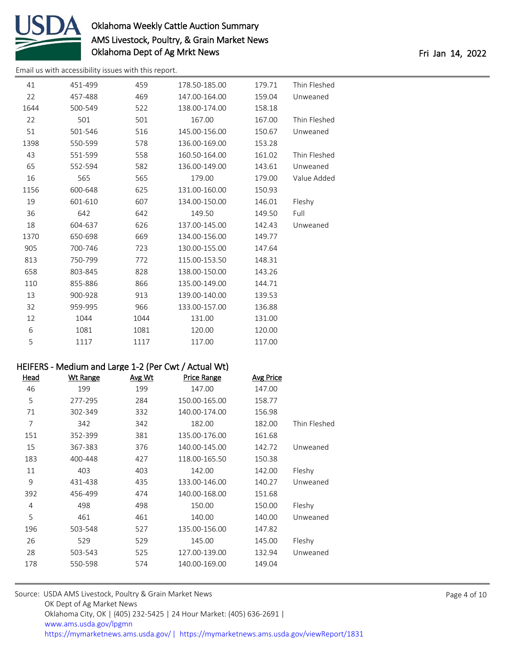

[Email us with accessibility issues with this report.](mailto:mars@ams.usda.gov?subject=508%20issue)

| 41   | 451-499 | 459  | 178.50-185.00 | 179.71 | Thin Fleshed |
|------|---------|------|---------------|--------|--------------|
| 22   | 457-488 | 469  | 147.00-164.00 | 159.04 | Unweaned     |
| 1644 | 500-549 | 522  | 138.00-174.00 | 158.18 |              |
| 22   | 501     | 501  | 167.00        | 167.00 | Thin Fleshed |
| 51   | 501-546 | 516  | 145.00-156.00 | 150.67 | Unweaned     |
| 1398 | 550-599 | 578  | 136.00-169.00 | 153.28 |              |
| 43   | 551-599 | 558  | 160.50-164.00 | 161.02 | Thin Fleshed |
| 65   | 552-594 | 582  | 136.00-149.00 | 143.61 | Unweaned     |
| 16   | 565     | 565  | 179.00        | 179.00 | Value Added  |
| 1156 | 600-648 | 625  | 131.00-160.00 | 150.93 |              |
| 19   | 601-610 | 607  | 134.00-150.00 | 146.01 | Fleshy       |
| 36   | 642     | 642  | 149.50        | 149.50 | Full         |
| 18   | 604-637 | 626  | 137.00-145.00 | 142.43 | Unweaned     |
| 1370 | 650-698 | 669  | 134.00-156.00 | 149.77 |              |
| 905  | 700-746 | 723  | 130.00-155.00 | 147.64 |              |
| 813  | 750-799 | 772  | 115.00-153.50 | 148.31 |              |
| 658  | 803-845 | 828  | 138.00-150.00 | 143.26 |              |
| 110  | 855-886 | 866  | 135.00-149.00 | 144.71 |              |
| 13   | 900-928 | 913  | 139.00-140.00 | 139.53 |              |
| 32   | 959-995 | 966  | 133.00-157.00 | 136.88 |              |
| 12   | 1044    | 1044 | 131.00        | 131.00 |              |
| 6    | 1081    | 1081 | 120.00        | 120.00 |              |
| 5    | 1117    | 1117 | 117.00        | 117.00 |              |

#### HEIFERS - Medium and Large 1-2 (Per Cwt / Actual Wt)

| Head | <u>Wt Range</u> | Avg Wt | <b>Price Range</b> | <b>Avg Price</b> |              |
|------|-----------------|--------|--------------------|------------------|--------------|
| 46   | 199             | 199    | 147.00             | 147.00           |              |
| 5    | 277-295         | 284    | 150.00-165.00      | 158.77           |              |
| 71   | 302-349         | 332    | 140.00-174.00      | 156.98           |              |
| 7    | 342             | 342    | 182.00             | 182.00           | Thin Fleshed |
| 151  | 352-399         | 381    | 135.00-176.00      | 161.68           |              |
| 15   | 367-383         | 376    | 140.00-145.00      | 142.72           | Unweaned     |
| 183  | 400-448         | 427    | 118.00-165.50      | 150.38           |              |
| 11   | 403             | 403    | 142.00             | 142.00           | Fleshy       |
| 9    | 431-438         | 435    | 133.00-146.00      | 140.27           | Unweaned     |
| 392  | 456-499         | 474    | 140.00-168.00      | 151.68           |              |
| 4    | 498             | 498    | 150.00             | 150.00           | Fleshy       |
| 5    | 461             | 461    | 140.00             | 140.00           | Unweaned     |
| 196  | 503-548         | 527    | 135.00-156.00      | 147.82           |              |
| 26   | 529             | 529    | 145.00             | 145.00           | Fleshy       |
| 28   | 503-543         | 525    | 127.00-139.00      | 132.94           | Unweaned     |
| 178  | 550-598         | 574    | 140.00-169.00      | 149.04           |              |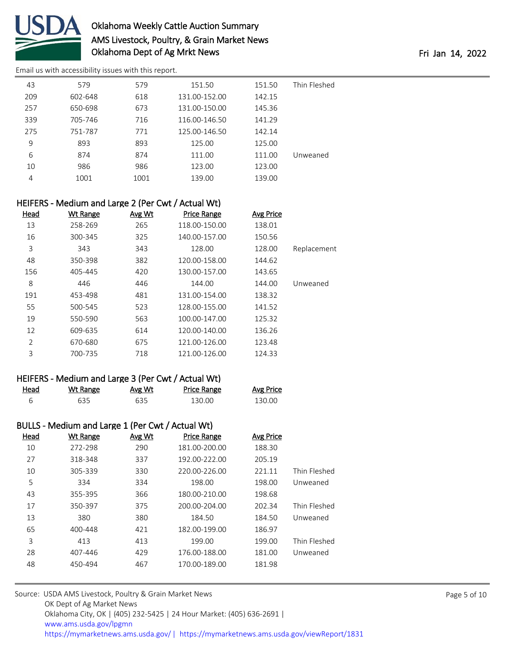

[Email us with accessibility issues with this report.](mailto:mars@ams.usda.gov?subject=508%20issue)

| 43  | 579     | 579  | 151.50        | 151.50 | Thin Fleshed |
|-----|---------|------|---------------|--------|--------------|
| 209 | 602-648 | 618  | 131.00-152.00 | 142.15 |              |
| 257 | 650-698 | 673  | 131.00-150.00 | 145.36 |              |
| 339 | 705-746 | 716  | 116.00-146.50 | 141.29 |              |
| 275 | 751-787 | 771  | 125.00-146.50 | 142.14 |              |
| 9   | 893     | 893  | 125.00        | 125.00 |              |
| 6   | 874     | 874  | 111.00        | 111.00 | Unweaned     |
| 10  | 986     | 986  | 123.00        | 123.00 |              |
| 4   | 1001    | 1001 | 139.00        | 139.00 |              |
|     |         |      |               |        |              |

|             | HEIFERS - Medium and Large 2 (Per Cwt / Actual Wt) |                    |        |                 |                |  |  |
|-------------|----------------------------------------------------|--------------------|--------|-----------------|----------------|--|--|
|             | <b>Avg Price</b>                                   | <b>Price Range</b> | Avg Wt | <u>Wt Range</u> | <b>Head</b>    |  |  |
|             | 138.01                                             | 118.00-150.00      | 265    | 258-269         | 13             |  |  |
|             | 150.56                                             | 140.00-157.00      | 325    | 300-345         | 16             |  |  |
| Replacement | 128.00                                             | 128.00             | 343    | 343             | 3              |  |  |
|             | 144.62                                             | 120.00-158.00      | 382    | 350-398         | 48             |  |  |
|             | 143.65                                             | 130.00-157.00      | 420    | 405-445         | 156            |  |  |
| Unweaned    | 144.00                                             | 144.00             | 446    | 446             | 8              |  |  |
|             | 138.32                                             | 131.00-154.00      | 481    | 453-498         | 191            |  |  |
|             | 141.52                                             | 128.00-155.00      | 523    | 500-545         | 55             |  |  |
|             | 125.32                                             | 100.00-147.00      | 563    | 550-590         | 19             |  |  |
|             | 136.26                                             | 120.00-140.00      | 614    | 609-635         | 12             |  |  |
|             | 123.48                                             | 121.00-126.00      | 675    | 670-680         | $\overline{2}$ |  |  |
|             | 124.33                                             | 121.00-126.00      | 718    | 700-735         | 3              |  |  |

| HEIFERS - Medium and Large 3 (Per Cwt / Actual Wt) |  |  |  |  |  |  |
|----------------------------------------------------|--|--|--|--|--|--|
|----------------------------------------------------|--|--|--|--|--|--|

| Head | <u>Wt Range</u> | <u>Avg Wt</u> | Price Range | <b>Avg Price</b> |
|------|-----------------|---------------|-------------|------------------|
|      | 635             | 635           | 130.00      | 130.00           |

### BULLS - Medium and Large 1 (Per Cwt / Actual Wt)

| Head | <b>Wt Range</b> | Avg Wt | <b>Price Range</b> | <b>Avg Price</b> |              |
|------|-----------------|--------|--------------------|------------------|--------------|
| 10   | 272-298         | 290    | 181.00-200.00      | 188.30           |              |
| 27   | 318-348         | 337    | 192.00-222.00      | 205.19           |              |
| 10   | 305-339         | 330    | 220.00-226.00      | 221.11           | Thin Fleshed |
| 5    | 334             | 334    | 198.00             | 198.00           | Unweaned     |
| 43   | 355-395         | 366    | 180.00-210.00      | 198.68           |              |
| 17   | 350-397         | 375    | 200.00-204.00      | 202.34           | Thin Fleshed |
| 13   | 380             | 380    | 184.50             | 184.50           | Unweaned     |
| 65   | 400-448         | 421    | 182.00-199.00      | 186.97           |              |
| 3    | 413             | 413    | 199.00             | 199.00           | Thin Fleshed |
| 28   | 407-446         | 429    | 176.00-188.00      | 181.00           | Unweaned     |
| 48   | 450-494         | 467    | 170.00-189.00      | 181.98           |              |
|      |                 |        |                    |                  |              |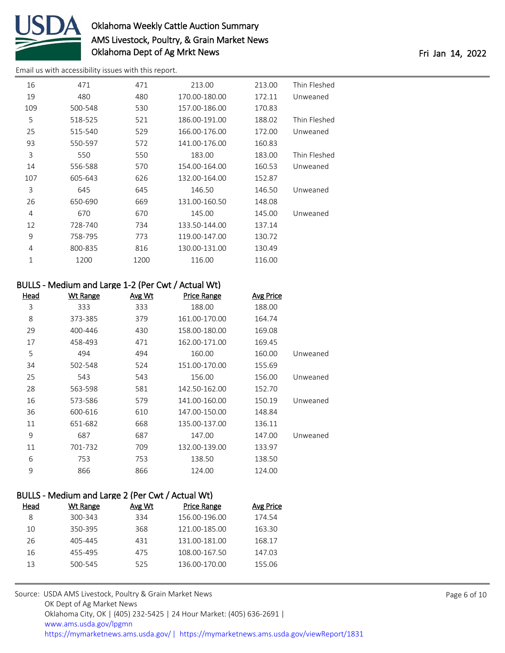

[Email us with accessibility issues with this report.](mailto:mars@ams.usda.gov?subject=508%20issue)

| 16  | 471     | 471  | 213.00        | 213.00 | Thin Fleshed |
|-----|---------|------|---------------|--------|--------------|
| 19  | 480     | 480  | 170.00-180.00 | 172.11 | Unweaned     |
| 109 | 500-548 | 530  | 157.00-186.00 | 170.83 |              |
| 5   | 518-525 | 521  | 186.00-191.00 | 188.02 | Thin Fleshed |
| 25  | 515-540 | 529  | 166.00-176.00 | 172.00 | Unweaned     |
| 93  | 550-597 | 572  | 141.00-176.00 | 160.83 |              |
| 3   | 550     | 550  | 183.00        | 183.00 | Thin Fleshed |
| 14  | 556-588 | 570  | 154.00-164.00 | 160.53 | Unweaned     |
| 107 | 605-643 | 626  | 132.00-164.00 | 152.87 |              |
| 3   | 645     | 645  | 146.50        | 146.50 | Unweaned     |
| 26  | 650-690 | 669  | 131.00-160.50 | 148.08 |              |
| 4   | 670     | 670  | 145.00        | 145.00 | Unweaned     |
| 12  | 728-740 | 734  | 133.50-144.00 | 137.14 |              |
| 9   | 758-795 | 773  | 119.00-147.00 | 130.72 |              |
| 4   | 800-835 | 816  | 130.00-131.00 | 130.49 |              |
| 1   | 1200    | 1200 | 116.00        | 116.00 |              |
|     |         |      |               |        |              |

| BULLS - Medium and Large 1-2 (Per Cwt / Actual Wt) |                 |        |               |                  |          |  |
|----------------------------------------------------|-----------------|--------|---------------|------------------|----------|--|
| Head                                               | <b>Wt Range</b> | Avg Wt | Price Range   | <b>Avg Price</b> |          |  |
| 3                                                  | 333             | 333    | 188.00        | 188.00           |          |  |
| 8                                                  | 373-385         | 379    | 161.00-170.00 | 164.74           |          |  |
| 29                                                 | 400-446         | 430    | 158.00-180.00 | 169.08           |          |  |
| 17                                                 | 458-493         | 471    | 162.00-171.00 | 169.45           |          |  |
| 5                                                  | 494             | 494    | 160.00        | 160.00           | Unweaned |  |
| 34                                                 | 502-548         | 524    | 151.00-170.00 | 155.69           |          |  |
| 25                                                 | 543             | 543    | 156.00        | 156.00           | Unweaned |  |
| 28                                                 | 563-598         | 581    | 142.50-162.00 | 152.70           |          |  |
| 16                                                 | 573-586         | 579    | 141.00-160.00 | 150.19           | Unweaned |  |
| 36                                                 | 600-616         | 610    | 147.00-150.00 | 148.84           |          |  |
| 11                                                 | 651-682         | 668    | 135.00-137.00 | 136.11           |          |  |
| 9                                                  | 687             | 687    | 147.00        | 147.00           | Unweaned |  |
| 11                                                 | 701-732         | 709    | 132.00-139.00 | 133.97           |          |  |
| 6                                                  | 753             | 753    | 138.50        | 138.50           |          |  |
| 9                                                  | 866             | 866    | 124.00        | 124.00           |          |  |

### BULLS - Medium and Large 2 (Per Cwt / Actual Wt)

| Wt Range | Avg Wt | Price Range   | Avg Price |
|----------|--------|---------------|-----------|
| 300-343  | 334    | 156.00-196.00 | 174.54    |
| 350-395  | 368    | 121.00-185.00 | 163.30    |
| 405-445  | 431    | 131.00-181.00 | 168.17    |
| 455-495  | 475    | 108.00-167.50 | 147.03    |
| 500-545  | 525    | 136.00-170.00 | 155.06    |
|          |        |               |           |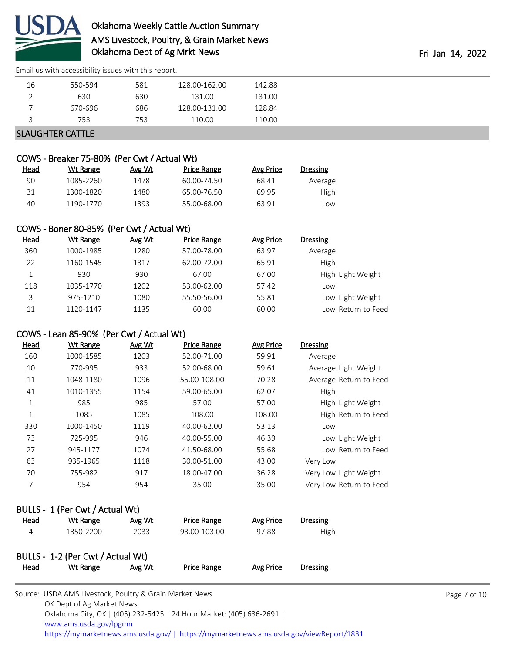

40 1190-1770 1393 55.00-68.00 63.91 Low

[Email us with accessibility issues with this report.](mailto:mars@ams.usda.gov?subject=508%20issue)

| 16                      | 550-594 | 581 | 128.00-162.00 | 142.88 |
|-------------------------|---------|-----|---------------|--------|
| ∸                       | 630     | 630 | 131.00        | 131.00 |
|                         | 670-696 | 686 | 128.00-131.00 | 128.84 |
|                         | 753     | 753 | 110.00        | 110.00 |
| <b>SLAUGHTER CATTLE</b> |         |     |               |        |

## COWS - Breaker 75-80% (Per Cwt / Actual Wt) Head Wt Range Avg Wt Price Range Avg Price Dressing 90 1085-2260 1478 60.00-74.50 68.41 Average 31 1300-1820 1480 65.00-76.50 69.95 High

### COWS - Boner 80-85% (Per Cwt / Actual Wt)

| <u>Head</u> | Wt Range  | Avg Wt | <b>Price Range</b> | Avg Price | Dressing           |
|-------------|-----------|--------|--------------------|-----------|--------------------|
| 360         | 1000-1985 | 1280   | 57.00-78.00        | 63.97     | Average            |
| 22          | 1160-1545 | 1317   | 62.00-72.00        | 65.91     | High               |
|             | 930       | 930    | 67.00              | 67.00     | High Light Weight  |
| 118         | 1035-1770 | 1202   | 53.00-62.00        | 57.42     | Low                |
| 3           | 975-1210  | 1080   | 55.50-56.00        | 55.81     | Low Light Weight   |
| 11          | 1120-1147 | 1135   | 60.00              | 60.00     | Low Return to Feed |

### COWS - Lean 85-90% (Per Cwt / Actual Wt)

| Head | <b>Wt Range</b> | Avg Wt | <b>Price Range</b> | <b>Avg Price</b> | <b>Dressing</b>         |
|------|-----------------|--------|--------------------|------------------|-------------------------|
| 160  | 1000-1585       | 1203   | 52.00-71.00        | 59.91            | Average                 |
| 10   | 770-995         | 933    | 52.00-68.00        | 59.61            | Average Light Weight    |
| 11   | 1048-1180       | 1096   | 55.00-108.00       | 70.28            | Average Return to Feed  |
| 41   | 1010-1355       | 1154   | 59.00-65.00        | 62.07            | High                    |
| 1    | 985             | 985    | 57.00              | 57.00            | High Light Weight       |
| 1    | 1085            | 1085   | 108.00             | 108.00           | High Return to Feed     |
| 330  | 1000-1450       | 1119   | 40.00-62.00        | 53.13            | Low                     |
| 73   | 725-995         | 946    | 40.00-55.00        | 46.39            | Low Light Weight        |
| 27   | 945-1177        | 1074   | 41.50-68.00        | 55.68            | Low Return to Feed      |
| 63   | 935-1965        | 1118   | 30.00-51.00        | 43.00            | Very Low                |
| 70   | 755-982         | 917    | 18.00-47.00        | 36.28            | Very Low Light Weight   |
| 7    | 954             | 954    | 35.00              | 35.00            | Very Low Return to Feed |

### BULLS - 1 (Per Cwt / Actual Wt)

| Head | Wt Range                          | Avg Wt | <b>Price Range</b> | Avg Price | Dressing |  |  |  |  |  |
|------|-----------------------------------|--------|--------------------|-----------|----------|--|--|--|--|--|
| 4    | 1850-2200                         | 2033   | 93.00-103.00       | 97.88     | High     |  |  |  |  |  |
|      |                                   |        |                    |           |          |  |  |  |  |  |
|      | BULLS - 1-2 (Per Cwt / Actual Wt) |        |                    |           |          |  |  |  |  |  |
| Head | Wt Range                          | Avg Wt | <b>Price Range</b> | Avg Price | Dressing |  |  |  |  |  |
|      |                                   |        |                    |           |          |  |  |  |  |  |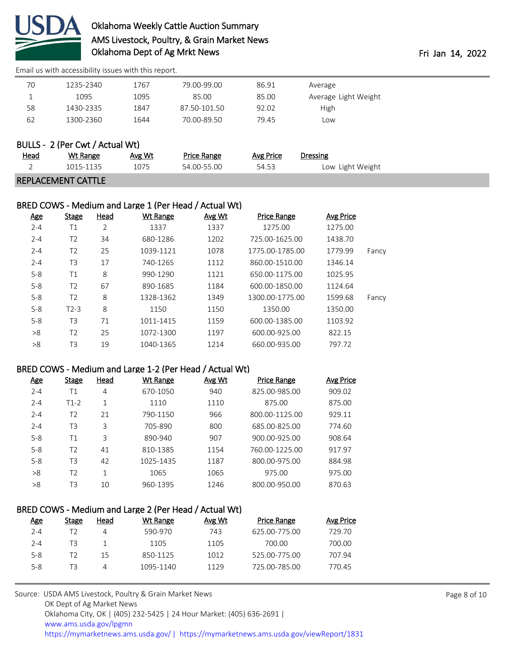

[Email us with accessibility issues with this report.](mailto:mars@ams.usda.gov?subject=508%20issue)

| 70   | 1235-2340                       | 1767   | 79.00-99.00        | 86.91     | Average              |  |
|------|---------------------------------|--------|--------------------|-----------|----------------------|--|
| 1    | 1095                            | 1095   | 85.00              | 85.00     | Average Light Weight |  |
| 58   | 1430-2335                       | 1847   | 87.50-101.50       | 92.02     | High                 |  |
| 62   | 1300-2360                       | 1644   | 70.00-89.50        | 79.45     | Low                  |  |
|      |                                 |        |                    |           |                      |  |
|      | BULLS - 2 (Per Cwt / Actual Wt) |        |                    |           |                      |  |
| Head | Wt Range                        | Avg Wt | <b>Price Range</b> | Avg Price | <b>Dressing</b>      |  |
|      | 1015-1135                       | 1075   | 54.00-55.00        | 54.53     | Low Light Weight     |  |
|      | <b>REPLACEMENT CATTLE</b>       |        |                    |           |                      |  |

### BRED COWS - Medium and Large 1 (Per Head / Actual Wt)

| <u>Age</u> | <b>Stage</b>   | Head | Wt Range  | Avg Wt | <b>Price Range</b> | Avg Price |       |
|------------|----------------|------|-----------|--------|--------------------|-----------|-------|
| $2 - 4$    | Τ1             | 2    | 1337      | 1337   | 1275.00            | 1275.00   |       |
| $2 - 4$    | T <sub>2</sub> | 34   | 680-1286  | 1202   | 725.00-1625.00     | 1438.70   |       |
| $2 - 4$    | T <sub>2</sub> | 25   | 1039-1121 | 1078   | 1775.00-1785.00    | 1779.99   | Fancy |
| $2 - 4$    | T <sub>3</sub> | 17   | 740-1265  | 1112   | 860.00-1510.00     | 1346.14   |       |
| $5 - 8$    | Τ1             | 8    | 990-1290  | 1121   | 650.00-1175.00     | 1025.95   |       |
| $5 - 8$    | T <sub>2</sub> | 67   | 890-1685  | 1184   | 600.00-1850.00     | 1124.64   |       |
| $5 - 8$    | T <sub>2</sub> | 8    | 1328-1362 | 1349   | 1300.00-1775.00    | 1599.68   | Fancy |
| $5 - 8$    | $T2-3$         | 8    | 1150      | 1150   | 1350.00            | 1350.00   |       |
| $5 - 8$    | T3             | 71   | 1011-1415 | 1159   | 600.00-1385.00     | 1103.92   |       |
| >8         | T <sub>2</sub> | 25   | 1072-1300 | 1197   | 600.00-925.00      | 822.15    |       |
| >8         | T3             | 19   | 1040-1365 | 1214   | 660.00-935.00      | 797.72    |       |

#### BRED COWS - Medium and Large 1-2 (Per Head / Actual Wt)

| <u>Age</u> | Stage          | Head | Wt Range  | Avg Wt | <b>Price Range</b> | Avg Price |
|------------|----------------|------|-----------|--------|--------------------|-----------|
| $2 - 4$    | Τ1             | 4    | 670-1050  | 940    | 825.00-985.00      | 909.02    |
| $2 - 4$    | $T1-2$         | 1    | 1110      | 1110   | 875.00             | 875.00    |
| $2 - 4$    | Τ2             | 21   | 790-1150  | 966    | 800.00-1125.00     | 929.11    |
| $2 - 4$    | T3             | 3    | 705-890   | 800    | 685.00-825.00      | 774.60    |
| $5 - 8$    | Τ1             | 3    | 890-940   | 907    | 900.00-925.00      | 908.64    |
| $5 - 8$    | T <sub>2</sub> | 41   | 810-1385  | 1154   | 760.00-1225.00     | 917.97    |
| $5 - 8$    | T <sub>3</sub> | 42   | 1025-1435 | 1187   | 800.00-975.00      | 884.98    |
| >8         | T2             | 1    | 1065      | 1065   | 975.00             | 975.00    |
| >8         | T3             | 10   | 960-1395  | 1246   | 800.00-950.00      | 870.63    |

#### BRED COWS - Medium and Large 2 (Per Head / Actual Wt)

| <u>Age</u> | Stage | Head | Wt Range  | Avg Wt | <b>Price Range</b> | Avg Price |
|------------|-------|------|-----------|--------|--------------------|-----------|
| $2 - 4$    | T2    | 4    | 590-970   | 743    | 625.00-775.00      | 729.70    |
| $2 - 4$    | T3    |      | 1105      | 1105   | 700.00             | 700.00    |
| $5 - 8$    | T2    | 15   | 850-1125  | 1012   | 525.00-775.00      | 707.94    |
| $5 - 8$    | TЗ    | 4    | 1095-1140 | 1129   | 725.00-785.00      | 770.45    |
|            |       |      |           |        |                    |           |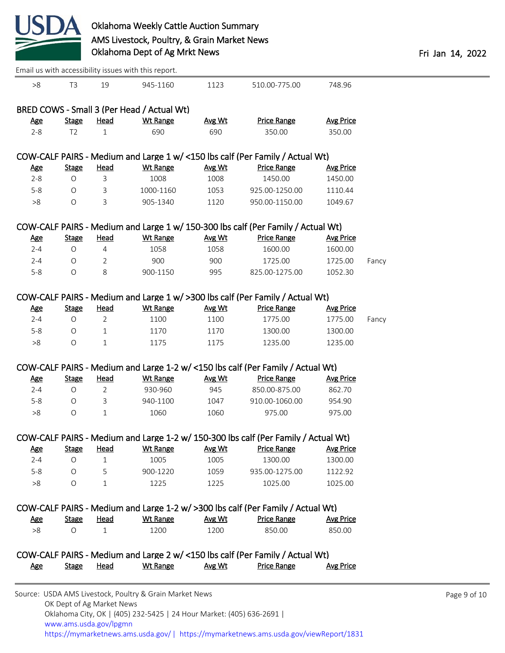

|            |                |                | Email us with accessibility issues with this report. |        |                                                                                    |                  |       |
|------------|----------------|----------------|------------------------------------------------------|--------|------------------------------------------------------------------------------------|------------------|-------|
| >8         | T <sub>3</sub> | 19             | 945-1160                                             | 1123   | 510.00-775.00                                                                      | 748.96           |       |
|            |                |                | BRED COWS - Small 3 (Per Head / Actual Wt)           |        |                                                                                    |                  |       |
| <b>Age</b> | <b>Stage</b>   | <u>Head</u>    | Wt Range                                             | Avg Wt | <b>Price Range</b>                                                                 | <b>Avg Price</b> |       |
| $2 - 8$    | T <sub>2</sub> | 1              | 690                                                  | 690    | 350.00                                                                             | 350.00           |       |
|            |                |                |                                                      |        | COW-CALF PAIRS - Medium and Large 1 w/ <150 lbs calf (Per Family / Actual Wt)      |                  |       |
| <u>Age</u> | <b>Stage</b>   | Head           | <b>Wt Range</b>                                      | Avg Wt | <b>Price Range</b>                                                                 | <b>Avg Price</b> |       |
| $2 - 8$    | $\circ$        | 3              | 1008                                                 | 1008   | 1450.00                                                                            | 1450.00          |       |
| $5-8$      | $\circ$        | 3              | 1000-1160                                            | 1053   | 925.00-1250.00                                                                     | 1110.44          |       |
| >8         | $\circ$        | 3              | 905-1340                                             | 1120   | 950.00-1150.00                                                                     | 1049.67          |       |
|            |                |                |                                                      |        | COW-CALF PAIRS - Medium and Large 1 w/ 150-300 lbs calf (Per Family / Actual Wt)   |                  |       |
| <u>Age</u> | <b>Stage</b>   | Head           | <b>Wt Range</b>                                      | Avg Wt | <b>Price Range</b>                                                                 | <b>Avg Price</b> |       |
| $2 - 4$    | $\circ$        | $\overline{4}$ | 1058                                                 | 1058   | 1600.00                                                                            | 1600.00          |       |
| $2 - 4$    | $\circ$        | $\overline{2}$ | 900                                                  | 900    | 1725.00                                                                            | 1725.00          | Fancy |
| $5 - 8$    | $\circ$        | 8              | 900-1150                                             | 995    | 825.00-1275.00                                                                     | 1052.30          |       |
|            |                |                |                                                      |        | COW-CALF PAIRS - Medium and Large 1 w/ >300 lbs calf (Per Family / Actual Wt)      |                  |       |
| <b>Age</b> | <b>Stage</b>   | <b>Head</b>    | <b>Wt Range</b>                                      | Avg Wt | <b>Price Range</b>                                                                 | <b>Avg Price</b> |       |
| $2 - 4$    | $\circ$        | $\overline{2}$ | 1100                                                 | 1100   | 1775.00                                                                            | 1775.00          | Fancy |
| $5 - 8$    | O              | $\mathbf{1}$   | 1170                                                 | 1170   | 1300.00                                                                            | 1300.00          |       |
| >8         | $\bigcirc$     | $\mathbf 1$    | 1175                                                 | 1175   | 1235.00                                                                            | 1235.00          |       |
|            |                |                |                                                      |        | COW-CALF PAIRS - Medium and Large 1-2 w/ <150 lbs calf (Per Family / Actual Wt)    |                  |       |
| <b>Age</b> | <b>Stage</b>   | <b>Head</b>    | <b>Wt Range</b>                                      | Avg Wt | <b>Price Range</b>                                                                 | <b>Avg Price</b> |       |
| $2 - 4$    | $\circ$        | $\overline{2}$ | 930-960                                              | 945    | 850.00-875.00                                                                      | 862.70           |       |
| $5 - 8$    | $\circ$        | 3              | 940-1100                                             | 1047   | 910.00-1060.00                                                                     | 954.90           |       |
| >8         | $\circ$        | $\mathbf{1}$   | 1060                                                 | 1060   | 975.00                                                                             | 975.00           |       |
|            |                |                |                                                      |        | COW-CALF PAIRS - Medium and Large 1-2 w/ 150-300 lbs calf (Per Family / Actual Wt) |                  |       |
| <u>Age</u> | <b>Stage</b>   | <b>Head</b>    | <b>Wt Range</b>                                      | Avg Wt | <b>Price Range</b>                                                                 | <b>Avg Price</b> |       |
| $2 - 4$    | $\circ$        | $\mathbf{1}$   | 1005                                                 | 1005   | 1300.00                                                                            | 1300.00          |       |
| $5 - 8$    | $\bigcirc$     | 5              | 900-1220                                             | 1059   | 935.00-1275.00                                                                     | 1122.92          |       |
| >8         | $\circ$        | 1              | 1225                                                 | 1225   | 1025.00                                                                            | 1025.00          |       |
|            |                |                |                                                      |        | COW-CALF PAIRS - Medium and Large 1-2 w/ >300 lbs calf (Per Family / Actual Wt)    |                  |       |
| <u>Age</u> | <b>Stage</b>   | <b>Head</b>    | <b>Wt Range</b>                                      | Avg Wt | <b>Price Range</b>                                                                 | <b>Avg Price</b> |       |
| >8         | $\circ$        | $\mathbf 1$    | 1200                                                 | 1200   | 850.00                                                                             | 850.00           |       |
|            |                |                |                                                      |        | COW-CALF PAIRS - Medium and Large 2 w/ <150 lbs calf (Per Family / Actual Wt)      |                  |       |
| <u>Age</u> | <b>Stage</b>   | <b>Head</b>    | <b>Wt Range</b>                                      | Avg Wt | <b>Price Range</b>                                                                 | <b>Avg Price</b> |       |